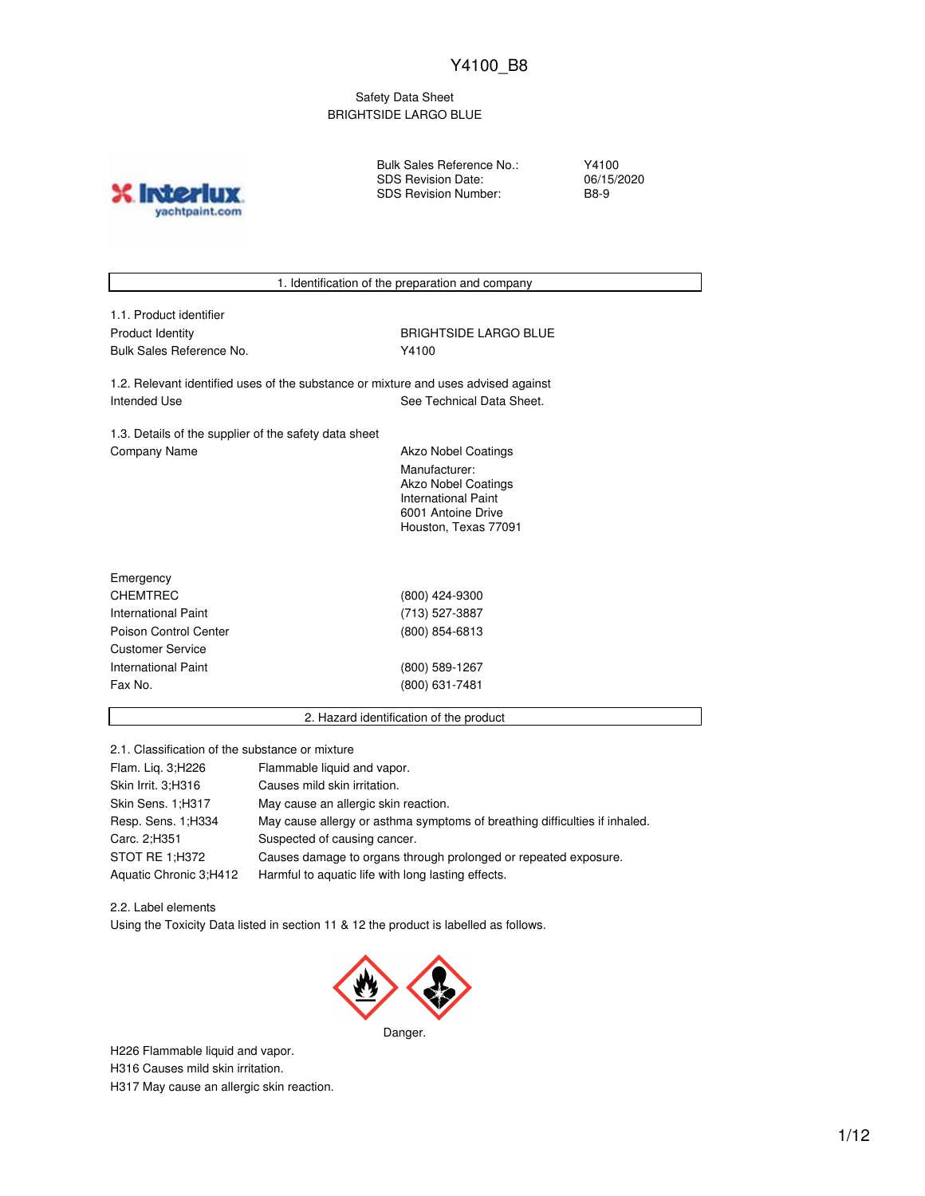### Safety Data Sheet BRIGHTSIDE LARGO BLUE

**X** Inter yachtpaint.com Bulk Sales Reference No.: SDS Revision Date: SDS Revision Number:

Y4100 06/15/2020 B8-9

|                                                                                    | 1. Identification of the preparation and company |  |  |  |
|------------------------------------------------------------------------------------|--------------------------------------------------|--|--|--|
| 1.1. Product identifier                                                            |                                                  |  |  |  |
|                                                                                    | <b>BRIGHTSIDE LARGO BLUE</b>                     |  |  |  |
| <b>Product Identity</b><br>Bulk Sales Reference No.                                |                                                  |  |  |  |
|                                                                                    | Y4100                                            |  |  |  |
| 1.2. Relevant identified uses of the substance or mixture and uses advised against |                                                  |  |  |  |
| Intended Use                                                                       | See Technical Data Sheet.                        |  |  |  |
| 1.3. Details of the supplier of the safety data sheet                              |                                                  |  |  |  |
| Company Name<br><b>Akzo Nobel Coatings</b>                                         |                                                  |  |  |  |
|                                                                                    | Manufacturer:                                    |  |  |  |
|                                                                                    | <b>Akzo Nobel Coatings</b>                       |  |  |  |
|                                                                                    | <b>International Paint</b>                       |  |  |  |
|                                                                                    | 6001 Antoine Drive                               |  |  |  |
|                                                                                    | Houston, Texas 77091                             |  |  |  |
|                                                                                    |                                                  |  |  |  |
| Emergency                                                                          |                                                  |  |  |  |
| <b>CHEMTREC</b>                                                                    | (800) 424-9300                                   |  |  |  |
| <b>International Paint</b>                                                         | (713) 527-3887                                   |  |  |  |
| Poison Control Center                                                              | (800) 854-6813                                   |  |  |  |
| <b>Customer Service</b>                                                            |                                                  |  |  |  |
| <b>International Paint</b>                                                         | (800) 589-1267                                   |  |  |  |
| Fax No.                                                                            | (800) 631-7481                                   |  |  |  |
|                                                                                    | 2. Hazard identification of the product          |  |  |  |
|                                                                                    |                                                  |  |  |  |

2.1. Classification of the substance or mixture

| Flam. Lig. 3; H226     | Flammable liquid and vapor.                                                |
|------------------------|----------------------------------------------------------------------------|
| Skin Irrit. 3;H316     | Causes mild skin irritation.                                               |
| Skin Sens. 1; H317     | May cause an allergic skin reaction.                                       |
| Resp. Sens. 1; H334    | May cause allergy or asthma symptoms of breathing difficulties if inhaled. |
| Carc. 2: H351          | Suspected of causing cancer.                                               |
| STOT RE 1;H372         | Causes damage to organs through prolonged or repeated exposure.            |
| Aquatic Chronic 3;H412 | Harmful to aquatic life with long lasting effects.                         |

2.2. Label elements Using the Toxicity Data listed in section 11 & 12 the product is labelled as follows.



Danger.

H226 Flammable liquid and vapor.

H316 Causes mild skin irritation.

H317 May cause an allergic skin reaction.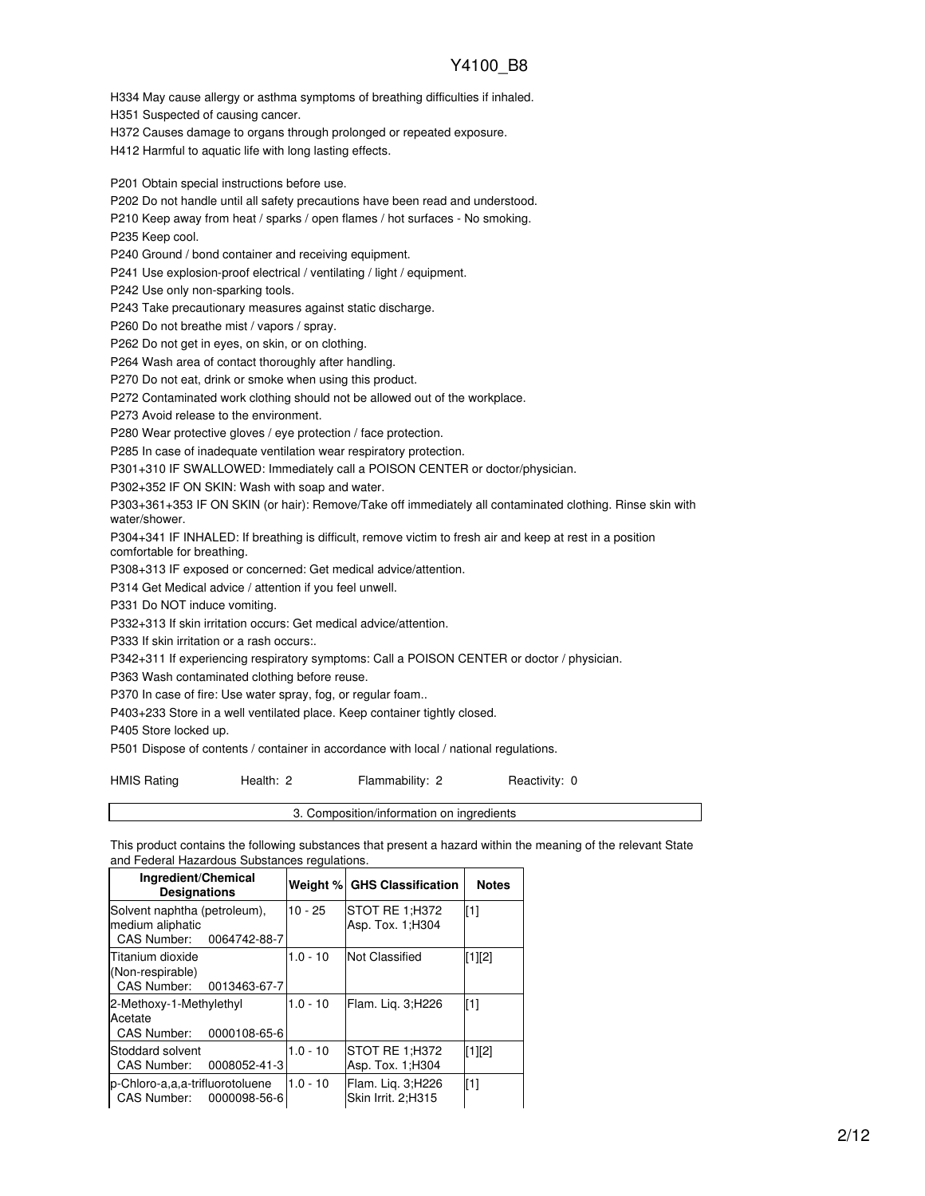H334 May cause allergy or asthma symptoms of breathing difficulties if inhaled.

H351 Suspected of causing cancer.

H372 Causes damage to organs through prolonged or repeated exposure.

H412 Harmful to aquatic life with long lasting effects.

P201 Obtain special instructions before use.

P202 Do not handle until all safety precautions have been read and understood.

P210 Keep away from heat / sparks / open flames / hot surfaces - No smoking.

P235 Keep cool.

P240 Ground / bond container and receiving equipment.

P241 Use explosion-proof electrical / ventilating / light / equipment.

P242 Use only non-sparking tools.

P243 Take precautionary measures against static discharge.

P260 Do not breathe mist / vapors / spray.

P262 Do not get in eyes, on skin, or on clothing.

P264 Wash area of contact thoroughly after handling.

P270 Do not eat, drink or smoke when using this product.

P272 Contaminated work clothing should not be allowed out of the workplace.

P273 Avoid release to the environment.

P280 Wear protective gloves / eye protection / face protection.

P285 In case of inadequate ventilation wear respiratory protection.

P301+310 IF SWALLOWED: Immediately call a POISON CENTER or doctor/physician.

P302+352 IF ON SKIN: Wash with soap and water.

P303+361+353 IF ON SKIN (or hair): Remove/Take off immediately all contaminated clothing. Rinse skin with water/shower.

P304+341 IF INHALED: If breathing is difficult, remove victim to fresh air and keep at rest in a position comfortable for breathing.

P308+313 IF exposed or concerned: Get medical advice/attention.

P314 Get Medical advice / attention if you feel unwell.

P331 Do NOT induce vomiting.

P332+313 If skin irritation occurs: Get medical advice/attention.

P333 If skin irritation or a rash occurs:.

P342+311 If experiencing respiratory symptoms: Call a POISON CENTER or doctor / physician.

P363 Wash contaminated clothing before reuse.

P370 In case of fire: Use water spray, fog, or regular foam..

P403+233 Store in a well ventilated place. Keep container tightly closed.

P405 Store locked up.

P501 Dispose of contents / container in accordance with local / national regulations.

HMIS Rating **Health: 2** Flammability: 2 Reactivity: 0

3. Composition/information on ingredients

This product contains the following substances that present a hazard within the meaning of the relevant State and Federal Hazardous Substances regulations.

| Ingredient/Chemical<br><b>Designations</b>                                      |            | <b>Weight % GHS Classification</b>      | <b>Notes</b> |
|---------------------------------------------------------------------------------|------------|-----------------------------------------|--------------|
| Solvent naphtha (petroleum),<br>medium aliphatic<br>CAS Number:<br>0064742-88-7 | $10 - 25$  | STOT RE 1:H372<br>Asp. Tox. 1: H304     | [1]          |
| Titanium dioxide<br>(Non-respirable)<br>CAS Number:<br>0013463-67-7             | $1.0 - 10$ | <b>Not Classified</b>                   | [1][2]       |
| 2-Methoxy-1-Methylethyl<br>Acetate<br>0000108-65-6<br>CAS Number:               | $1.0 - 10$ | Flam. Lig. 3;H226                       | [1]          |
| Stoddard solvent<br>0008052-41-3<br>CAS Number:                                 | $1.0 - 10$ | STOT RE 1:H372<br>Asp. Tox. 1; H304     | [1][2]       |
| p-Chloro-a,a,a-trifluorotoluene<br>CAS Number:<br>0000098-56-6                  | $1.0 - 10$ | Flam. Liq. 3;H226<br>Skin Irrit. 2:H315 | $[1]$        |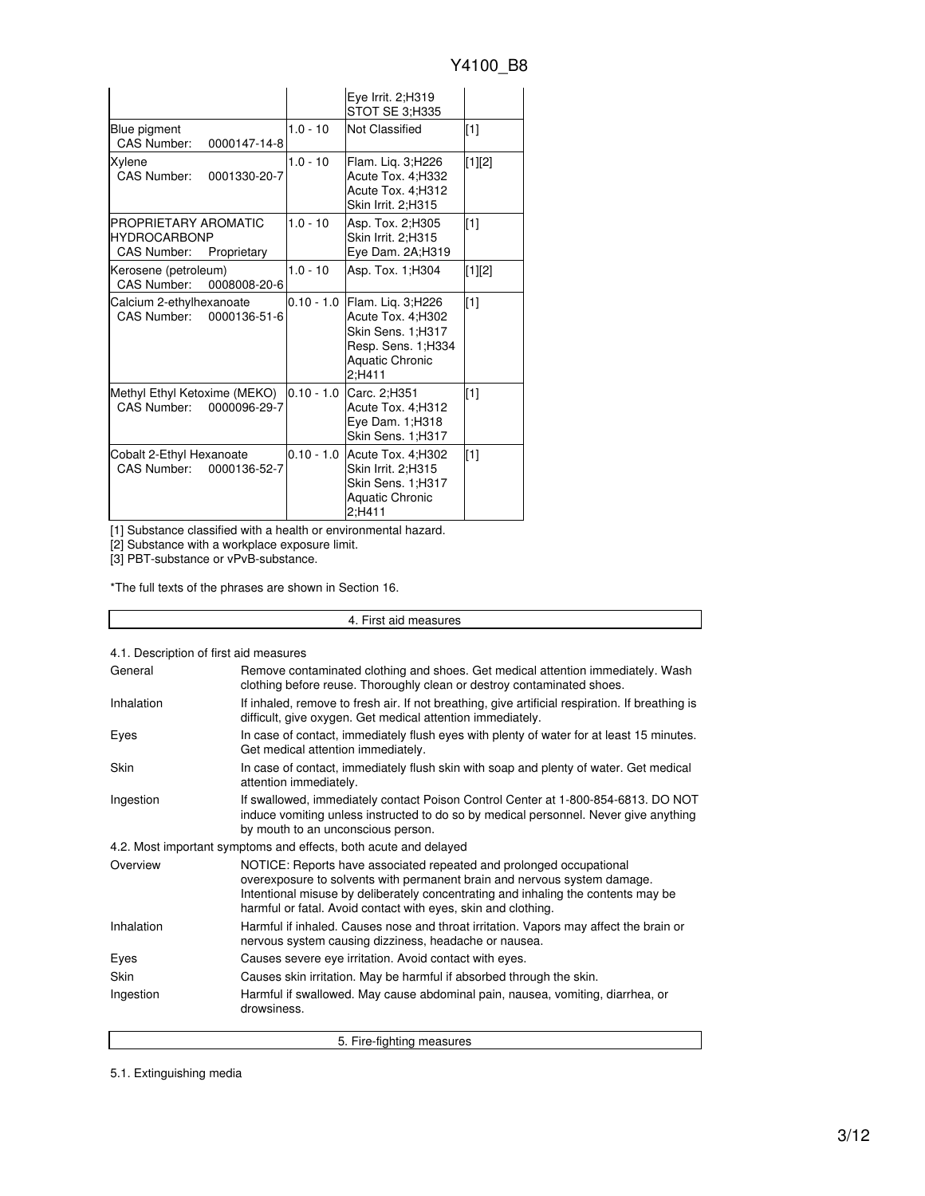|                                                                                  |              | Eye Irrit. 2;H319<br>STOT SE 3;H335                                                                                    |             |
|----------------------------------------------------------------------------------|--------------|------------------------------------------------------------------------------------------------------------------------|-------------|
| Blue pigment<br>CAS Number:<br>0000147-14-8                                      | $1.0 - 10$   | Not Classified                                                                                                         | $\sqrt{11}$ |
| Xylene<br>CAS Number:<br>0001330-20-7                                            | $1.0 - 10$   | Flam. Lig. 3;H226<br>Acute Tox. 4;H332<br>Acute Tox. 4;H312<br>Skin Irrit. 2;H315                                      | [1][2]      |
| PROPRIETARY AROMATIC<br><b>HYDROCARBONP</b><br><b>CAS Number:</b><br>Proprietary | $1.0 - 10$   | Asp. Tox. 2;H305<br>Skin Irrit. 2;H315<br>Eye Dam. 2A;H319                                                             | $[1]$       |
| Kerosene (petroleum)<br>CAS Number:<br>0008008-20-6                              | $1.0 - 10$   | Asp. Tox. 1; H304                                                                                                      | [1][2]      |
| Calcium 2-ethylhexanoate<br>CAS Number:<br>0000136-51-6                          | $0.10 - 1.0$ | Flam. Liq. 3;H226<br>Acute Tox. 4;H302<br>Skin Sens. 1;H317<br>Resp. Sens. 1; H334<br><b>Aquatic Chronic</b><br>2:H411 | $\sqrt{11}$ |
| Methyl Ethyl Ketoxime (MEKO)<br>CAS Number:<br>0000096-29-7                      | $0.10 - 1.0$ | Carc. 2;H351<br>Acute Tox. 4;H312<br>Eye Dam. 1;H318<br>Skin Sens. 1;H317                                              | $[1]$       |
| Cobalt 2-Ethyl Hexanoate<br>CAS Number:<br>0000136-52-7                          | $0.10 - 1.0$ | Acute Tox. 4; H302<br>Skin Irrit. 2;H315<br>Skin Sens. 1;H317<br>Aquatic Chronic<br>2:H411                             | $[1]$       |

[1] Substance classified with a health or environmental hazard.

[2] Substance with a workplace exposure limit.

[3] PBT-substance or vPvB-substance.

\*The full texts of the phrases are shown in Section 16.

4. First aid measures

|  |  |  | 4.1. Description of first aid measures |
|--|--|--|----------------------------------------|
|  |  |  |                                        |

| General    | Remove contaminated clothing and shoes. Get medical attention immediately. Wash<br>clothing before reuse. Thoroughly clean or destroy contaminated shoes.                                                                                                                                             |
|------------|-------------------------------------------------------------------------------------------------------------------------------------------------------------------------------------------------------------------------------------------------------------------------------------------------------|
| Inhalation | If inhaled, remove to fresh air. If not breathing, give artificial respiration. If breathing is<br>difficult, give oxygen. Get medical attention immediately.                                                                                                                                         |
| Eyes       | In case of contact, immediately flush eyes with plenty of water for at least 15 minutes.<br>Get medical attention immediately.                                                                                                                                                                        |
| Skin       | In case of contact, immediately flush skin with soap and plenty of water. Get medical<br>attention immediately.                                                                                                                                                                                       |
| Ingestion  | If swallowed, immediately contact Poison Control Center at 1-800-854-6813. DO NOT<br>induce vomiting unless instructed to do so by medical personnel. Never give anything<br>by mouth to an unconscious person.                                                                                       |
|            | 4.2. Most important symptoms and effects, both acute and delayed                                                                                                                                                                                                                                      |
| Overview   | NOTICE: Reports have associated repeated and prolonged occupational<br>overexposure to solvents with permanent brain and nervous system damage.<br>Intentional misuse by deliberately concentrating and inhaling the contents may be<br>harmful or fatal. Avoid contact with eyes, skin and clothing. |
| Inhalation | Harmful if inhaled. Causes nose and throat irritation. Vapors may affect the brain or<br>nervous system causing dizziness, headache or nausea.                                                                                                                                                        |
| Eyes       | Causes severe eye irritation. Avoid contact with eyes.                                                                                                                                                                                                                                                |
| Skin       | Causes skin irritation. May be harmful if absorbed through the skin.                                                                                                                                                                                                                                  |
| Ingestion  | Harmful if swallowed. May cause abdominal pain, nausea, vomiting, diarrhea, or<br>drowsiness.                                                                                                                                                                                                         |
|            | 5. Fire-fighting measures                                                                                                                                                                                                                                                                             |

5. Fire-fighting measures

5.1. Extinguishing media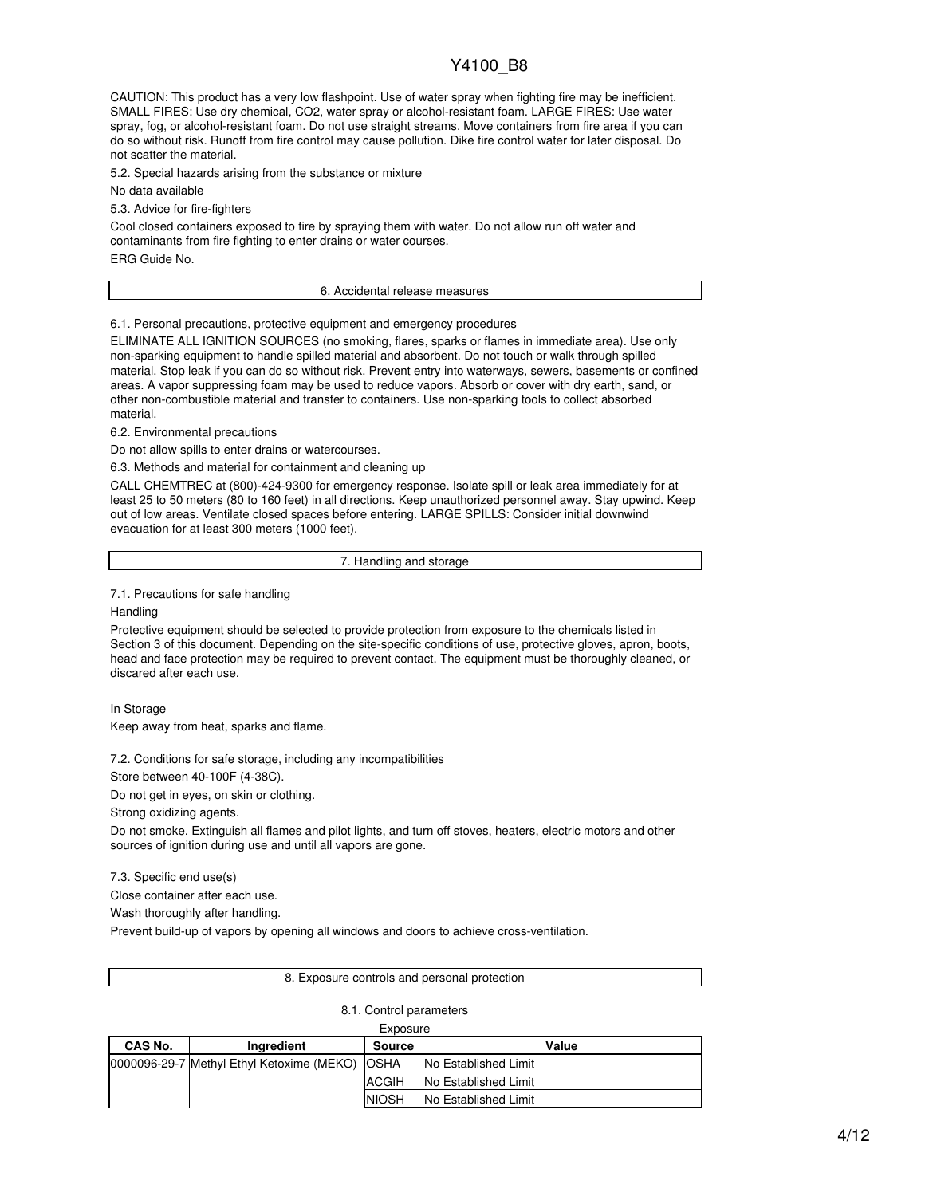CAUTION: This product has a very low flashpoint. Use of water spray when fighting fire may be inefficient. SMALL FIRES: Use dry chemical, CO2, water spray or alcohol-resistant foam. LARGE FIRES: Use water spray, fog, or alcohol-resistant foam. Do not use straight streams. Move containers from fire area if you can do so without risk. Runoff from fire control may cause pollution. Dike fire control water for later disposal. Do not scatter the material.

5.2. Special hazards arising from the substance or mixture

No data available

5.3. Advice for fire-fighters

Cool closed containers exposed to fire by spraying them with water. Do not allow run off water and contaminants from fire fighting to enter drains or water courses.

ERG Guide No.

#### 6. Accidental release measures

6.1. Personal precautions, protective equipment and emergency procedures

ELIMINATE ALL IGNITION SOURCES (no smoking, flares, sparks or flames in immediate area). Use only non-sparking equipment to handle spilled material and absorbent. Do not touch or walk through spilled material. Stop leak if you can do so without risk. Prevent entry into waterways, sewers, basements or confined areas. A vapor suppressing foam may be used to reduce vapors. Absorb or cover with dry earth, sand, or other non-combustible material and transfer to containers. Use non-sparking tools to collect absorbed material.

6.2. Environmental precautions

Do not allow spills to enter drains or watercourses.

6.3. Methods and material for containment and cleaning up

CALL CHEMTREC at (800)-424-9300 for emergency response. Isolate spill or leak area immediately for at least 25 to 50 meters (80 to 160 feet) in all directions. Keep unauthorized personnel away. Stay upwind. Keep out of low areas. Ventilate closed spaces before entering. LARGE SPILLS: Consider initial downwind evacuation for at least 300 meters (1000 feet).

7. Handling and storage

7.1. Precautions for safe handling

**Handling** 

Protective equipment should be selected to provide protection from exposure to the chemicals listed in Section 3 of this document. Depending on the site-specific conditions of use, protective gloves, apron, boots, head and face protection may be required to prevent contact. The equipment must be thoroughly cleaned, or discared after each use.

In Storage Keep away from heat, sparks and flame.

7.2. Conditions for safe storage, including any incompatibilities

Store between 40-100F (4-38C).

Do not get in eyes, on skin or clothing.

Strong oxidizing agents.

Do not smoke. Extinguish all flames and pilot lights, and turn off stoves, heaters, electric motors and other sources of ignition during use and until all vapors are gone.

7.3. Specific end use(s)

Close container after each use.

Wash thoroughly after handling.

Prevent build-up of vapors by opening all windows and doors to achieve cross-ventilation.

#### 8. Exposure controls and personal protection

8.1. Control parameters

| Exposure |                                           |               |                             |  |  |
|----------|-------------------------------------------|---------------|-----------------------------|--|--|
| CAS No.  | Ingredient                                | <b>Source</b> | Value                       |  |  |
|          | 0000096-29-7 Methyl Ethyl Ketoxime (MEKO) | <b>OSHA</b>   | <b>No Established Limit</b> |  |  |
|          |                                           | <b>ACGIH</b>  | No Established Limit        |  |  |
|          |                                           | <b>NIOSH</b>  | <b>No Established Limit</b> |  |  |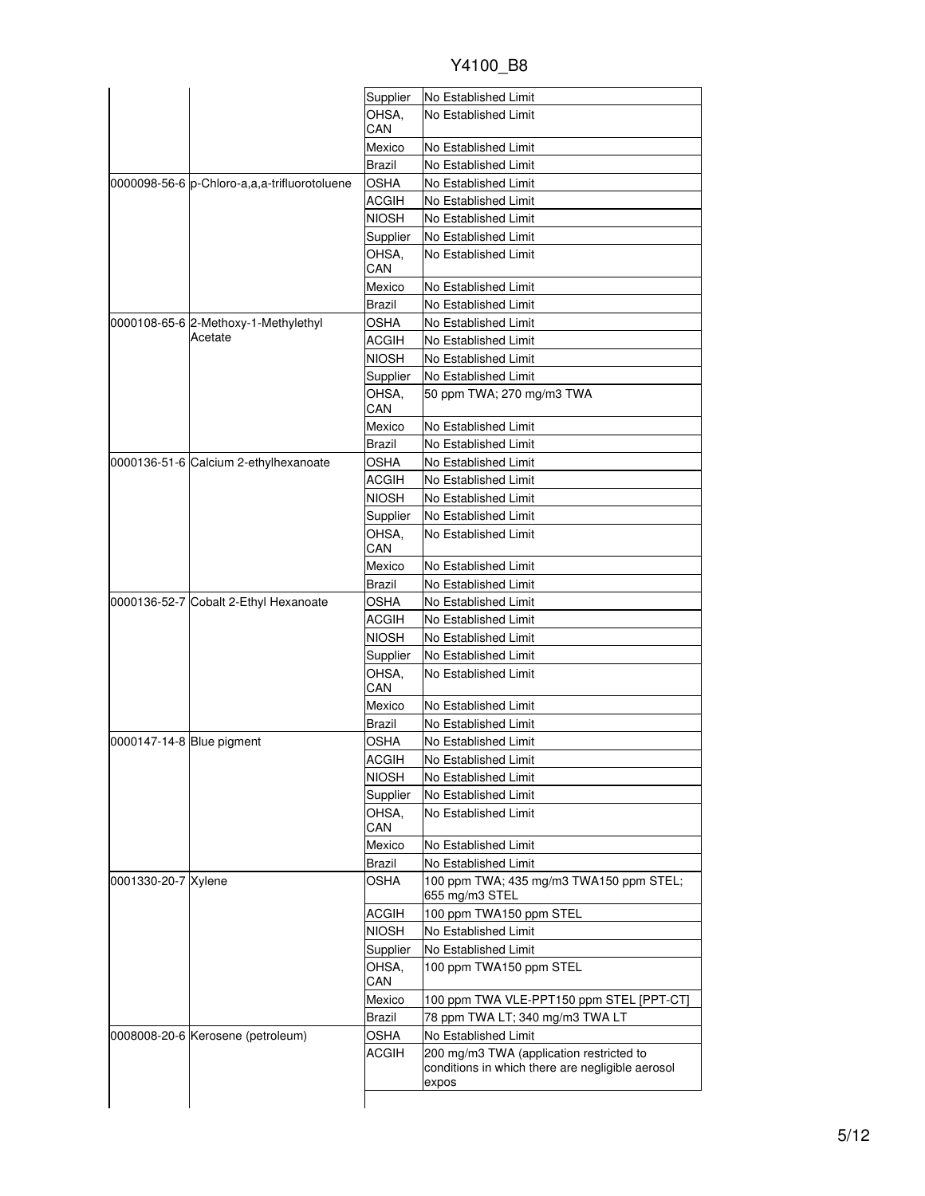| 0000098-56-6 p-Chloro-a,a,a-trifluorotoluene<br>0000108-65-6 2-Methoxy-1-Methylethyl<br>Acetate | Supplier<br>OHSA,<br>CAN<br>Mexico<br>Brazil<br><b>OSHA</b><br><b>ACGIH</b><br><b>NIOSH</b><br>Supplier<br>OHSA.<br>CAN<br>Mexico<br>Brazil<br>OSHA<br>ACGIH<br><b>NIOSH</b><br>Supplier<br>OHSA. | No Established Limit<br>No Established Limit<br>No Established Limit<br>No Established Limit<br>No Established Limit<br>No Established Limit<br>No Established Limit<br>No Established Limit<br>No Established Limit<br>No Established Limit<br>No Established Limit<br>No Established Limit<br>No Established Limit<br>No Established Limit<br>No Established Limit |
|-------------------------------------------------------------------------------------------------|---------------------------------------------------------------------------------------------------------------------------------------------------------------------------------------------------|----------------------------------------------------------------------------------------------------------------------------------------------------------------------------------------------------------------------------------------------------------------------------------------------------------------------------------------------------------------------|
|                                                                                                 |                                                                                                                                                                                                   |                                                                                                                                                                                                                                                                                                                                                                      |
|                                                                                                 |                                                                                                                                                                                                   |                                                                                                                                                                                                                                                                                                                                                                      |
|                                                                                                 |                                                                                                                                                                                                   |                                                                                                                                                                                                                                                                                                                                                                      |
|                                                                                                 |                                                                                                                                                                                                   |                                                                                                                                                                                                                                                                                                                                                                      |
|                                                                                                 |                                                                                                                                                                                                   |                                                                                                                                                                                                                                                                                                                                                                      |
|                                                                                                 |                                                                                                                                                                                                   |                                                                                                                                                                                                                                                                                                                                                                      |
|                                                                                                 |                                                                                                                                                                                                   |                                                                                                                                                                                                                                                                                                                                                                      |
|                                                                                                 |                                                                                                                                                                                                   |                                                                                                                                                                                                                                                                                                                                                                      |
|                                                                                                 |                                                                                                                                                                                                   |                                                                                                                                                                                                                                                                                                                                                                      |
|                                                                                                 |                                                                                                                                                                                                   |                                                                                                                                                                                                                                                                                                                                                                      |
|                                                                                                 |                                                                                                                                                                                                   |                                                                                                                                                                                                                                                                                                                                                                      |
|                                                                                                 |                                                                                                                                                                                                   |                                                                                                                                                                                                                                                                                                                                                                      |
|                                                                                                 |                                                                                                                                                                                                   |                                                                                                                                                                                                                                                                                                                                                                      |
|                                                                                                 |                                                                                                                                                                                                   |                                                                                                                                                                                                                                                                                                                                                                      |
|                                                                                                 |                                                                                                                                                                                                   |                                                                                                                                                                                                                                                                                                                                                                      |
|                                                                                                 |                                                                                                                                                                                                   |                                                                                                                                                                                                                                                                                                                                                                      |
|                                                                                                 | CAN                                                                                                                                                                                               | 50 ppm TWA; 270 mg/m3 TWA                                                                                                                                                                                                                                                                                                                                            |
|                                                                                                 | Mexico                                                                                                                                                                                            | No Established Limit                                                                                                                                                                                                                                                                                                                                                 |
|                                                                                                 | Brazil                                                                                                                                                                                            | No Established Limit                                                                                                                                                                                                                                                                                                                                                 |
|                                                                                                 | OSHA                                                                                                                                                                                              | No Established Limit                                                                                                                                                                                                                                                                                                                                                 |
|                                                                                                 | ACGIH                                                                                                                                                                                             | No Established Limit                                                                                                                                                                                                                                                                                                                                                 |
|                                                                                                 | <b>NIOSH</b>                                                                                                                                                                                      | No Established Limit                                                                                                                                                                                                                                                                                                                                                 |
|                                                                                                 | Supplier                                                                                                                                                                                          | No Established Limit                                                                                                                                                                                                                                                                                                                                                 |
|                                                                                                 | OHSA,<br>CAN                                                                                                                                                                                      | No Established Limit                                                                                                                                                                                                                                                                                                                                                 |
|                                                                                                 | Mexico                                                                                                                                                                                            | No Established Limit                                                                                                                                                                                                                                                                                                                                                 |
|                                                                                                 | Brazil                                                                                                                                                                                            | No Established Limit                                                                                                                                                                                                                                                                                                                                                 |
| 0000136-52-7 Cobalt 2-Ethyl Hexanoate                                                           | <b>OSHA</b>                                                                                                                                                                                       | No Established Limit                                                                                                                                                                                                                                                                                                                                                 |
|                                                                                                 | <b>ACGIH</b>                                                                                                                                                                                      | No Established Limit                                                                                                                                                                                                                                                                                                                                                 |
|                                                                                                 | <b>NIOSH</b>                                                                                                                                                                                      | No Established Limit                                                                                                                                                                                                                                                                                                                                                 |
|                                                                                                 | Supplier                                                                                                                                                                                          | No Established Limit                                                                                                                                                                                                                                                                                                                                                 |
|                                                                                                 | OHSA,<br>CAN                                                                                                                                                                                      | No Established Limit                                                                                                                                                                                                                                                                                                                                                 |
|                                                                                                 | Mexico                                                                                                                                                                                            | No Established Limit                                                                                                                                                                                                                                                                                                                                                 |
|                                                                                                 | Brazil                                                                                                                                                                                            | No Established Limit                                                                                                                                                                                                                                                                                                                                                 |
|                                                                                                 |                                                                                                                                                                                                   | No Established Limit                                                                                                                                                                                                                                                                                                                                                 |
|                                                                                                 |                                                                                                                                                                                                   | No Established Limit                                                                                                                                                                                                                                                                                                                                                 |
|                                                                                                 |                                                                                                                                                                                                   | No Established Limit                                                                                                                                                                                                                                                                                                                                                 |
|                                                                                                 |                                                                                                                                                                                                   | No Established Limit                                                                                                                                                                                                                                                                                                                                                 |
|                                                                                                 | OHSA.<br>CAN                                                                                                                                                                                      | No Established Limit                                                                                                                                                                                                                                                                                                                                                 |
|                                                                                                 |                                                                                                                                                                                                   | No Established Limit                                                                                                                                                                                                                                                                                                                                                 |
|                                                                                                 | Brazil                                                                                                                                                                                            | No Established Limit                                                                                                                                                                                                                                                                                                                                                 |
| 0001330-20-7 Xylene                                                                             | OSHA                                                                                                                                                                                              | 100 ppm TWA; 435 mg/m3 TWA150 ppm STEL;<br>655 mg/m3 STEL                                                                                                                                                                                                                                                                                                            |
|                                                                                                 | ACGIH                                                                                                                                                                                             | 100 ppm TWA150 ppm STEL                                                                                                                                                                                                                                                                                                                                              |
|                                                                                                 |                                                                                                                                                                                                   | No Established Limit                                                                                                                                                                                                                                                                                                                                                 |
|                                                                                                 |                                                                                                                                                                                                   | No Established Limit                                                                                                                                                                                                                                                                                                                                                 |
|                                                                                                 | OHSA.<br>CAN                                                                                                                                                                                      | 100 ppm TWA150 ppm STEL                                                                                                                                                                                                                                                                                                                                              |
|                                                                                                 | Mexico                                                                                                                                                                                            | 100 ppm TWA VLE-PPT150 ppm STEL [PPT-CT]                                                                                                                                                                                                                                                                                                                             |
|                                                                                                 |                                                                                                                                                                                                   | 78 ppm TWA LT; 340 mg/m3 TWA LT                                                                                                                                                                                                                                                                                                                                      |
|                                                                                                 |                                                                                                                                                                                                   | No Established Limit                                                                                                                                                                                                                                                                                                                                                 |
|                                                                                                 | ACGIH                                                                                                                                                                                             | 200 mg/m3 TWA (application restricted to<br>conditions in which there are negligible aerosol<br>expos                                                                                                                                                                                                                                                                |
|                                                                                                 | 0000136-51-6 Calcium 2-ethylhexanoate<br>0000147-14-8 Blue pigment<br>0008008-20-6 Kerosene (petroleum)                                                                                           | OSHA<br><b>ACGIH</b><br><b>NIOSH</b><br>Supplier<br>Mexico<br><b>NIOSH</b><br>Supplier<br><b>Brazil</b><br><b>OSHA</b>                                                                                                                                                                                                                                               |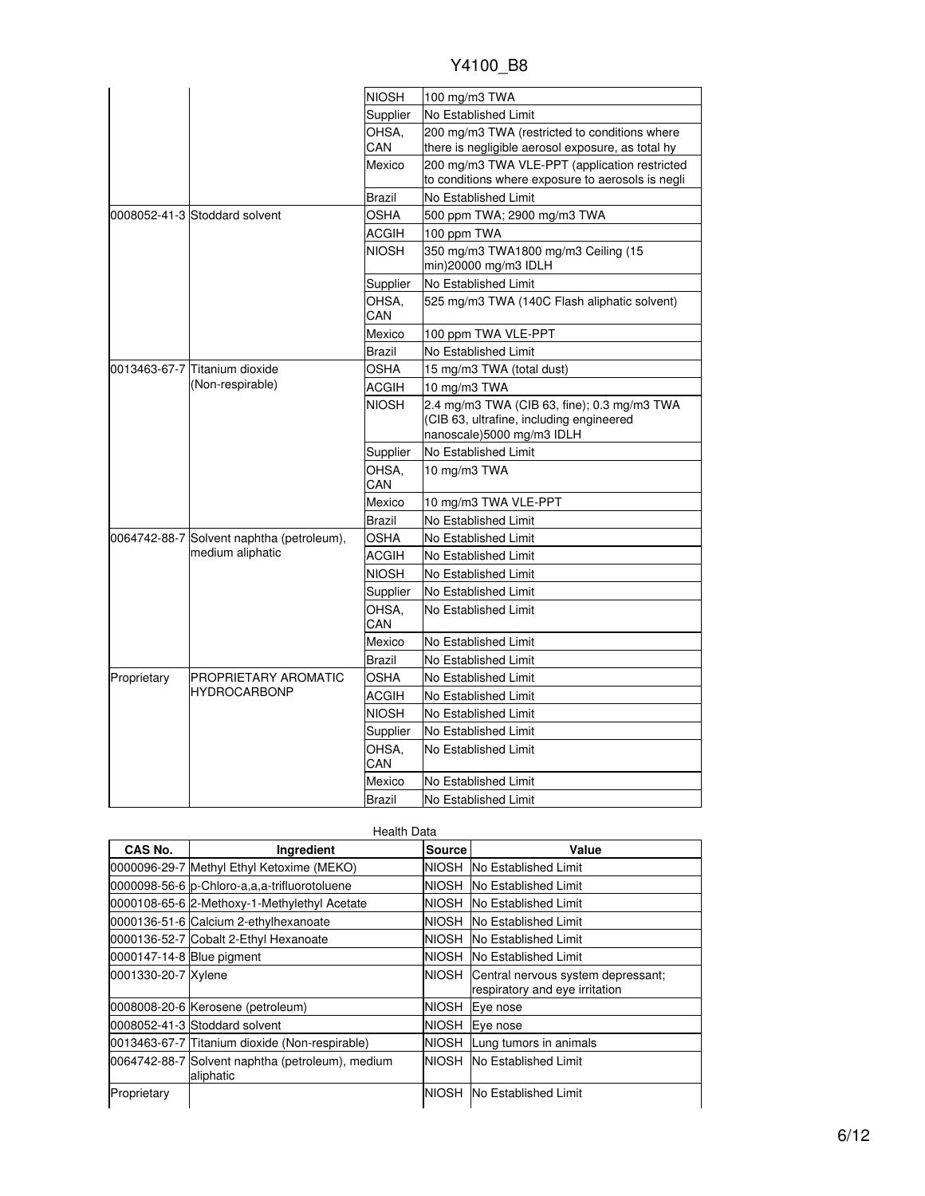| Y4100 B8 |  |  |
|----------|--|--|
|          |  |  |

|             |                                                               | <b>NIOSH</b> | 100 mg/m3 TWA                                                                                                        |
|-------------|---------------------------------------------------------------|--------------|----------------------------------------------------------------------------------------------------------------------|
|             |                                                               | Supplier     | No Established Limit                                                                                                 |
|             |                                                               | OHSA.        | 200 mg/m3 TWA (restricted to conditions where                                                                        |
|             |                                                               | CAN          | there is negligible aerosol exposure, as total hy                                                                    |
|             |                                                               | Mexico       | 200 mg/m3 TWA VLE-PPT (application restricted                                                                        |
|             |                                                               |              | to conditions where exposure to aerosols is negli                                                                    |
|             |                                                               | Brazil       | No Established Limit                                                                                                 |
|             | 0008052-41-3 Stoddard solvent                                 | OSHA         | 500 ppm TWA; 2900 mg/m3 TWA                                                                                          |
|             |                                                               | ACGIH        | 100 ppm TWA                                                                                                          |
|             |                                                               | NIOSH        | 350 mg/m3 TWA1800 mg/m3 Ceiling (15<br>min)20000 mg/m3 IDLH                                                          |
|             |                                                               | Supplier     | No Established Limit                                                                                                 |
|             |                                                               | OHSA.<br>CAN | 525 mg/m3 TWA (140C Flash aliphatic solvent)                                                                         |
|             |                                                               | Mexico       | 100 ppm TWA VLE-PPT                                                                                                  |
|             |                                                               | Brazil       | No Established Limit                                                                                                 |
|             | l0013463-67-7 lTitanium dioxide<br>(Non-respirable)           | OSHA         | 15 mg/m3 TWA (total dust)                                                                                            |
|             |                                                               | ACGIH        | 10 mg/m3 TWA                                                                                                         |
|             |                                                               | <b>NIOSH</b> | 2.4 mg/m3 TWA (CIB 63, fine); 0.3 mg/m3 TWA<br>(CIB 63, ultrafine, including engineered<br>nanoscale)5000 mg/m3 IDLH |
|             |                                                               | Supplier     | No Established Limit                                                                                                 |
|             |                                                               | OHSA.<br>CAN | 10 mg/m3 TWA                                                                                                         |
|             |                                                               | Mexico       | 10 mg/m3 TWA VLE-PPT                                                                                                 |
|             |                                                               | Brazil       | No Established Limit                                                                                                 |
|             | 0064742-88-7 Solvent naphtha (petroleum),<br>medium aliphatic | OSHA         | No Established Limit                                                                                                 |
|             |                                                               | ACGIH        | No Established Limit                                                                                                 |
|             |                                                               | <b>NIOSH</b> | No Established Limit                                                                                                 |
|             |                                                               | Supplier     | No Established Limit                                                                                                 |
|             |                                                               | OHSA.<br>CAN | No Established Limit                                                                                                 |
|             |                                                               | Mexico       | No Established Limit                                                                                                 |
|             |                                                               | Brazil       | No Established Limit                                                                                                 |
| Proprietary | PROPRIETARY AROMATIC                                          | OSHA         | No Established Limit                                                                                                 |
|             | <b>HYDROCARBONP</b>                                           | ACGIH        | No Established Limit                                                                                                 |
|             |                                                               | <b>NIOSH</b> | No Established Limit                                                                                                 |
|             |                                                               | Supplier     | No Established Limit                                                                                                 |
|             |                                                               | OHSA.<br>CAN | No Established Limit                                                                                                 |
|             |                                                               | Mexico       | No Established Limit                                                                                                 |
|             |                                                               | Brazil       | No Established Limit                                                                                                 |

|                           | <b>Health Data</b>                                            |               |                                                                      |  |  |
|---------------------------|---------------------------------------------------------------|---------------|----------------------------------------------------------------------|--|--|
| CAS No.                   | Ingredient                                                    | <b>Source</b> | Value                                                                |  |  |
|                           | 0000096-29-7 Methyl Ethyl Ketoxime (MEKO)                     | NIOSH         | No Established Limit                                                 |  |  |
|                           | 0000098-56-6 p-Chloro-a,a,a-trifluorotoluene                  | NIOSH         | No Established Limit                                                 |  |  |
|                           | 0000108-65-6 2-Methoxy-1-Methylethyl Acetate                  | NIOSH         | <b>No Established Limit</b>                                          |  |  |
|                           | 0000136-51-6 Calcium 2-ethylhexanoate                         | NIOSH         | <b>No Established Limit</b>                                          |  |  |
|                           | 0000136-52-7 Cobalt 2-Ethyl Hexanoate                         | NIOSH         | <b>No Established Limit</b>                                          |  |  |
| 0000147-14-8 Blue pigment |                                                               |               | NIOSH No Established Limit                                           |  |  |
| 0001330-20-7 Xylene       |                                                               | NIOSH         | Central nervous system depressant;<br>respiratory and eye irritation |  |  |
|                           | 0008008-20-6 Kerosene (petroleum)                             | NIOSH         | Eye nose                                                             |  |  |
|                           | 0008052-41-3 Stoddard solvent                                 | <b>NIOSH</b>  | Eve nose                                                             |  |  |
|                           | 0013463-67-7 Titanium dioxide (Non-respirable)                | NIOSH         | Lung tumors in animals                                               |  |  |
|                           | 0064742-88-7 Solvent naphtha (petroleum), medium<br>aliphatic | <b>NIOSH</b>  | <b>No Established Limit</b>                                          |  |  |
| Proprietary               |                                                               | <b>NIOSH</b>  | <b>No Established Limit</b>                                          |  |  |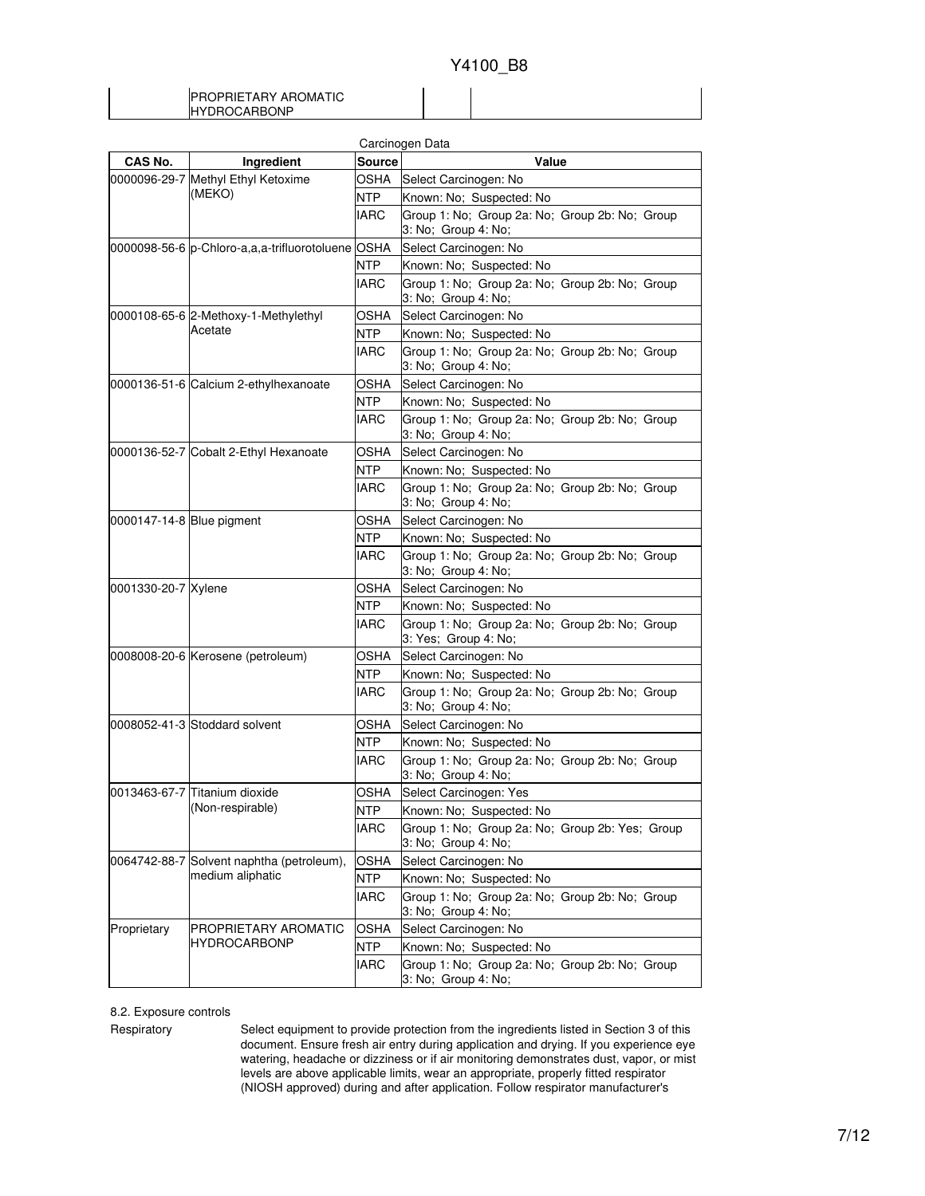### PROPRIETARY AROMATIC HYDROCARBONP

| Carcinogen Data           |                                                   |               |                                                                        |  |
|---------------------------|---------------------------------------------------|---------------|------------------------------------------------------------------------|--|
| CAS No.                   | Ingredient                                        | <b>Source</b> | Value                                                                  |  |
|                           | 0000096-29-7 Methyl Ethyl Ketoxime                | OSHA          | Select Carcinogen: No                                                  |  |
|                           | (MEKO)                                            | <b>NTP</b>    | Known: No: Suspected: No                                               |  |
|                           |                                                   | <b>IARC</b>   | Group 1: No; Group 2a: No; Group 2b: No; Group<br>3: No; Group 4: No;  |  |
|                           | 0000098-56-6 p-Chloro-a,a,a-trifluorotoluene OSHA |               | Select Carcinogen: No                                                  |  |
|                           |                                                   | <b>NTP</b>    | Known: No; Suspected: No                                               |  |
|                           |                                                   | <b>IARC</b>   | Group 1: No; Group 2a: No; Group 2b: No; Group<br>3: No; Group 4: No;  |  |
|                           | 0000108-65-6 2-Methoxy-1-Methylethyl              | OSHA          | Select Carcinogen: No                                                  |  |
|                           | Acetate                                           | <b>NTP</b>    | Known: No: Suspected: No                                               |  |
|                           |                                                   | <b>IARC</b>   | Group 1: No; Group 2a: No; Group 2b: No; Group<br>3: No; Group 4: No;  |  |
|                           | 0000136-51-6 Calcium 2-ethylhexanoate             | <b>OSHA</b>   | Select Carcinogen: No                                                  |  |
|                           |                                                   | <b>NTP</b>    | Known: No; Suspected: No                                               |  |
|                           |                                                   | <b>IARC</b>   | Group 1: No; Group 2a: No; Group 2b: No; Group<br>3: No; Group 4: No;  |  |
|                           | 0000136-52-7 Cobalt 2-Ethyl Hexanoate             | OSHA          | Select Carcinogen: No                                                  |  |
|                           |                                                   | <b>NTP</b>    | Known: No; Suspected: No                                               |  |
|                           |                                                   | <b>IARC</b>   | Group 1: No; Group 2a: No; Group 2b: No; Group<br>3: No; Group 4: No;  |  |
| 0000147-14-8 Blue pigment |                                                   | OSHA          | Select Carcinogen: No                                                  |  |
|                           |                                                   | <b>NTP</b>    | Known: No; Suspected: No                                               |  |
|                           |                                                   | <b>IARC</b>   | Group 1: No; Group 2a: No; Group 2b: No; Group<br>3: No; Group 4: No;  |  |
| 0001330-20-7 Xylene       |                                                   | <b>OSHA</b>   | Select Carcinogen: No                                                  |  |
|                           |                                                   | <b>NTP</b>    | Known: No; Suspected: No                                               |  |
|                           |                                                   | <b>IARC</b>   | Group 1: No; Group 2a: No; Group 2b: No; Group<br>3: Yes; Group 4: No; |  |
|                           | 0008008-20-6 Kerosene (petroleum)                 | OSHA          | Select Carcinogen: No                                                  |  |
|                           |                                                   | <b>NTP</b>    | Known: No; Suspected: No                                               |  |
|                           |                                                   | <b>IARC</b>   | Group 1: No; Group 2a: No; Group 2b: No; Group<br>3: No; Group 4: No;  |  |
|                           | 0008052-41-3 Stoddard solvent                     | <b>OSHA</b>   | Select Carcinogen: No                                                  |  |
|                           |                                                   | <b>NTP</b>    | Known: No; Suspected: No                                               |  |
|                           |                                                   | <b>IARC</b>   | Group 1: No; Group 2a: No; Group 2b: No; Group<br>3: No; Group 4: No;  |  |
|                           | 0013463-67-7 Titanium dioxide                     | OSHA          | Select Carcinogen: Yes                                                 |  |
|                           | (Non-respirable)                                  | <b>NTP</b>    | Known: No; Suspected: No                                               |  |
|                           |                                                   | <b>IARC</b>   | Group 1: No; Group 2a: No; Group 2b: Yes; Group<br>3: No; Group 4: No; |  |
|                           | 0064742-88-7 Solvent naphtha (petroleum),         | <b>OSHA</b>   | Select Carcinogen: No                                                  |  |
|                           | medium aliphatic                                  | <b>NTP</b>    | Known: No; Suspected: No                                               |  |
|                           |                                                   | <b>IARC</b>   | Group 1: No; Group 2a: No; Group 2b: No; Group<br>3: No; Group 4: No;  |  |
| Proprietary               | PROPRIETARY AROMATIC                              | <b>OSHA</b>   | Select Carcinogen: No                                                  |  |
|                           | <b>HYDROCARBONP</b>                               | <b>NTP</b>    | Known: No; Suspected: No                                               |  |
|                           |                                                   | <b>IARC</b>   | Group 1: No; Group 2a: No; Group 2b: No; Group<br>3: No; Group 4: No;  |  |

### 8.2. Exposure controls

Respiratory Select equipment to provide protection from the ingredients listed in Section 3 of this document. Ensure fresh air entry during application and drying. If you experience eye watering, headache or dizziness or if air monitoring demonstrates dust, vapor, or mist levels are above applicable limits, wear an appropriate, properly fitted respirator (NIOSH approved) during and after application. Follow respirator manufacturer's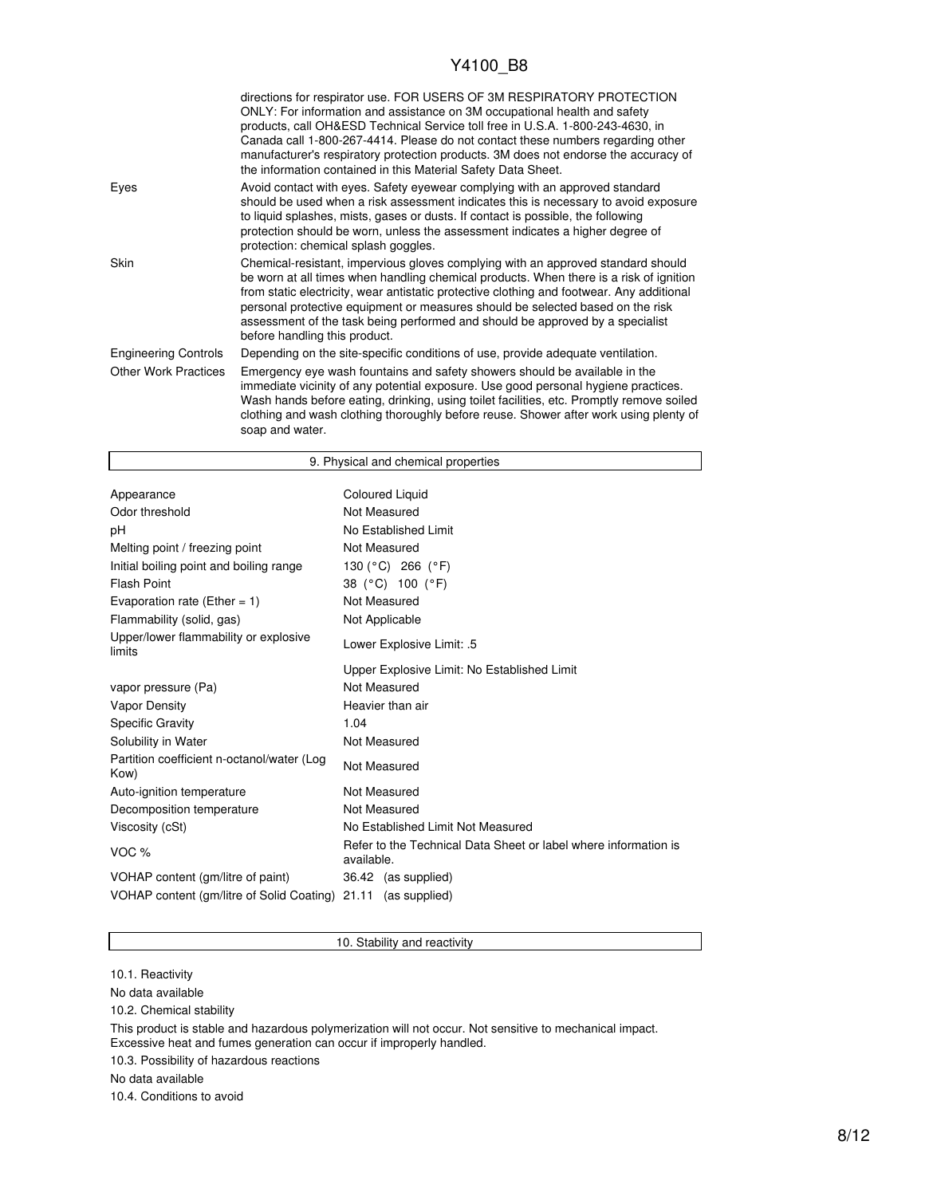|                             | directions for respirator use. FOR USERS OF 3M RESPIRATORY PROTECTION<br>ONLY: For information and assistance on 3M occupational health and safety<br>products, call OH&ESD Technical Service toll free in U.S.A. 1-800-243-4630, in<br>Canada call 1-800-267-4414. Please do not contact these numbers regarding other<br>manufacturer's respiratory protection products. 3M does not endorse the accuracy of<br>the information contained in this Material Safety Data Sheet. |
|-----------------------------|---------------------------------------------------------------------------------------------------------------------------------------------------------------------------------------------------------------------------------------------------------------------------------------------------------------------------------------------------------------------------------------------------------------------------------------------------------------------------------|
| Eyes                        | Avoid contact with eyes. Safety eyewear complying with an approved standard<br>should be used when a risk assessment indicates this is necessary to avoid exposure<br>to liquid splashes, mists, gases or dusts. If contact is possible, the following<br>protection should be worn, unless the assessment indicates a higher degree of<br>protection: chemical splash goggles.                                                                                                 |
| <b>Skin</b>                 | Chemical-resistant, impervious gloves complying with an approved standard should<br>be worn at all times when handling chemical products. When there is a risk of ignition<br>from static electricity, wear antistatic protective clothing and footwear. Any additional<br>personal protective equipment or measures should be selected based on the risk<br>assessment of the task being performed and should be approved by a specialist<br>before handling this product.     |
| <b>Engineering Controls</b> | Depending on the site-specific conditions of use, provide adequate ventilation.                                                                                                                                                                                                                                                                                                                                                                                                 |
| <b>Other Work Practices</b> | Emergency eye wash fountains and safety showers should be available in the<br>immediate vicinity of any potential exposure. Use good personal hygiene practices.<br>Wash hands before eating, drinking, using toilet facilities, etc. Promptly remove soiled<br>clothing and wash clothing thoroughly before reuse. Shower after work using plenty of<br>soap and water.                                                                                                        |

|                                                    | 9. Physical and chemical properties                                           |  |  |  |
|----------------------------------------------------|-------------------------------------------------------------------------------|--|--|--|
|                                                    |                                                                               |  |  |  |
| Appearance                                         | Coloured Liquid                                                               |  |  |  |
| Odor threshold                                     | Not Measured                                                                  |  |  |  |
| рH                                                 | No Established Limit                                                          |  |  |  |
| Melting point / freezing point                     | Not Measured                                                                  |  |  |  |
| Initial boiling point and boiling range            | 130 (°C) 266 (°F)                                                             |  |  |  |
| <b>Flash Point</b>                                 | 38 (°C) 100 (°F)                                                              |  |  |  |
| Evaporation rate (Ether = $1$ )                    | Not Measured                                                                  |  |  |  |
| Flammability (solid, gas)                          | Not Applicable                                                                |  |  |  |
| Upper/lower flammability or explosive<br>limits    | Lower Explosive Limit: .5                                                     |  |  |  |
|                                                    | Upper Explosive Limit: No Established Limit                                   |  |  |  |
| vapor pressure (Pa)                                | Not Measured                                                                  |  |  |  |
| Vapor Density                                      | Heavier than air                                                              |  |  |  |
| <b>Specific Gravity</b>                            | 1.04                                                                          |  |  |  |
| Solubility in Water                                | Not Measured                                                                  |  |  |  |
| Partition coefficient n-octanol/water (Log<br>Kow) | Not Measured                                                                  |  |  |  |
| Auto-ignition temperature                          | Not Measured                                                                  |  |  |  |
| Decomposition temperature                          | Not Measured                                                                  |  |  |  |
| Viscosity (cSt)                                    | No Established Limit Not Measured                                             |  |  |  |
| VOC <sub>%</sub>                                   | Refer to the Technical Data Sheet or label where information is<br>available. |  |  |  |
| VOHAP content (gm/litre of paint)                  | 36.42 (as supplied)                                                           |  |  |  |
| VOHAP content (gm/litre of Solid Coating)          | 21.11 (as supplied)                                                           |  |  |  |

### 10. Stability and reactivity

10.1. Reactivity

 $\mathsf{l}$ 

No data available

10.2. Chemical stability

This product is stable and hazardous polymerization will not occur. Not sensitive to mechanical impact. Excessive heat and fumes generation can occur if improperly handled.

10.3. Possibility of hazardous reactions

No data available

10.4. Conditions to avoid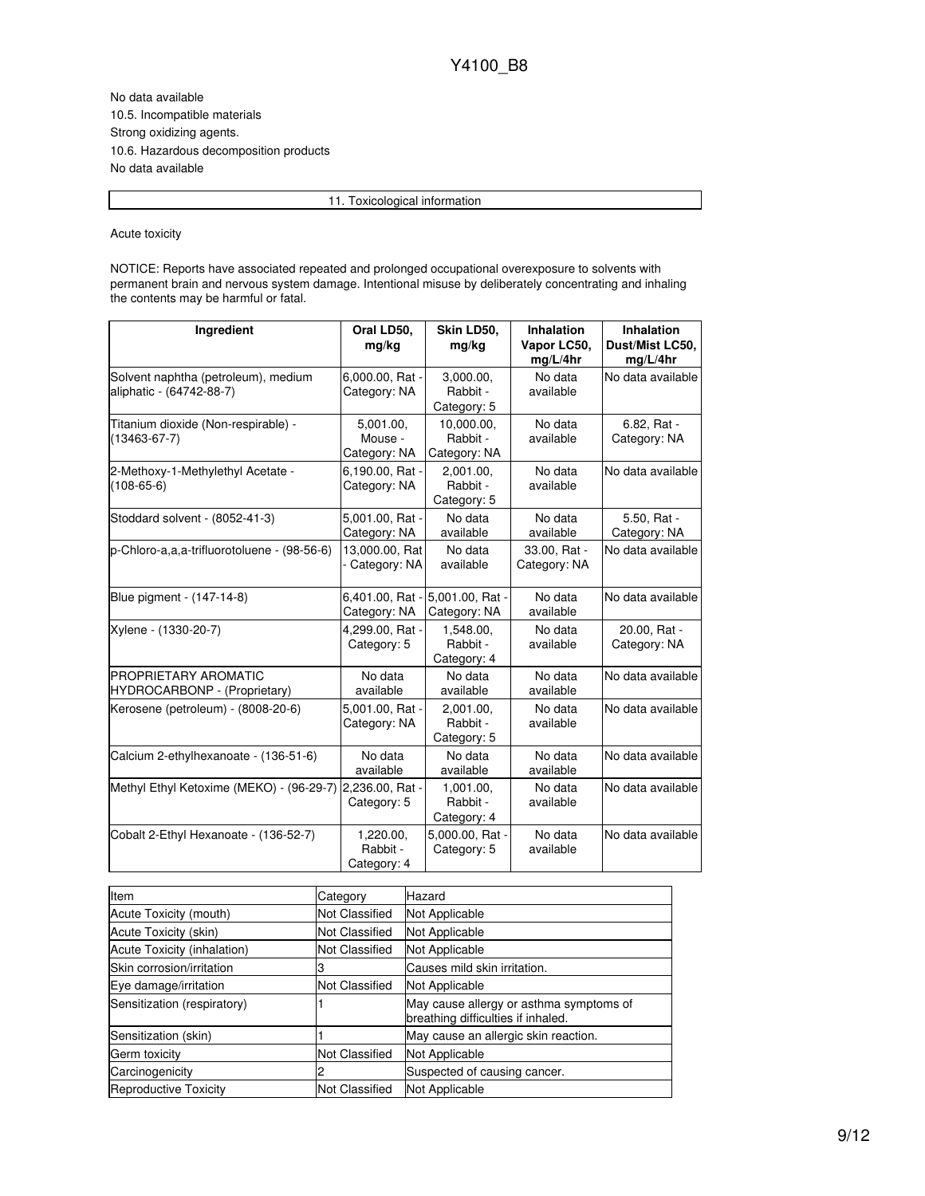No data available 10.5. Incompatible materials Strong oxidizing agents. 10.6. Hazardous decomposition products No data available

11. Toxicological information

#### Acute toxicity

NOTICE: Reports have associated repeated and prolonged occupational overexposure to solvents with permanent brain and nervous system damage. Intentional misuse by deliberately concentrating and inhaling the contents may be harmful or fatal.

| Ingredient                                                      | Oral LD50,<br>mg/kg                  | Skin LD50,<br>mg/kg                    | <b>Inhalation</b><br>Vapor LC50,<br>mg/L/4hr | <b>Inhalation</b><br>Dust/Mist LC50,<br>mg/L/4hr |
|-----------------------------------------------------------------|--------------------------------------|----------------------------------------|----------------------------------------------|--------------------------------------------------|
| Solvent naphtha (petroleum), medium<br>aliphatic - (64742-88-7) | 6,000.00, Rat -<br>Category: NA      | 3,000.00,<br>Rabbit -<br>Category: 5   | No data<br>available                         | No data available                                |
| Titanium dioxide (Non-respirable) -<br>(13463-67-7)             | 5,001.00,<br>Mouse -<br>Category: NA | 10,000.00,<br>Rabbit -<br>Category: NA | No data<br>available                         | 6.82, Rat -<br>Category: NA                      |
| 2-Methoxy-1-Methylethyl Acetate -<br>$(108 - 65 - 6)$           | 6,190.00, Rat -<br>Category: NA      | 2,001.00,<br>Rabbit -<br>Category: 5   | No data<br>available                         | No data available                                |
| Stoddard solvent - (8052-41-3)                                  | 5,001.00, Rat -<br>Category: NA      | No data<br>available                   | No data<br>available                         | 5.50, Rat -<br>Category: NA                      |
| p-Chloro-a,a,a-trifluorotoluene - (98-56-6)                     | 13,000.00, Rat<br>Category: NA       | No data<br>available                   | 33.00, Rat -<br>Category: NA                 | No data available                                |
| Blue pigment - (147-14-8)                                       | 6,401.00, Rat -<br>Category: NA      | 5.001.00. Rat -<br>Category: NA        | No data<br>available                         | No data available                                |
| Xylene - (1330-20-7)                                            | 4,299.00, Rat -<br>Category: 5       | 1,548.00,<br>Rabbit -<br>Category: 4   | No data<br>available                         | 20.00, Rat -<br>Category: NA                     |
| PROPRIETARY AROMATIC<br>HYDROCARBONP - (Proprietary)            | No data<br>available                 | No data<br>available                   | No data<br>available                         | No data available                                |
| Kerosene (petroleum) - (8008-20-6)                              | 5,001.00, Rat -<br>Category: NA      | 2.001.00.<br>Rabbit -<br>Category: 5   | No data<br>available                         | No data available                                |
| Calcium 2-ethylhexanoate - (136-51-6)                           | No data<br>available                 | No data<br>available                   | No data<br>available                         | No data available                                |
| Methyl Ethyl Ketoxime (MEKO) - (96-29-7)                        | 2,236.00, Rat -<br>Category: 5       | 1.001.00.<br>Rabbit -<br>Category: 4   | No data<br>available                         | No data available                                |
| Cobalt 2-Ethyl Hexanoate - (136-52-7)                           | 1,220.00,<br>Rabbit -<br>Category: 4 | 5,000.00, Rat -<br>Category: 5         | No data<br>available                         | No data available                                |

| Item                        | Category       | Hazard                                                                        |
|-----------------------------|----------------|-------------------------------------------------------------------------------|
| Acute Toxicity (mouth)      | Not Classified | Not Applicable                                                                |
| Acute Toxicity (skin)       | Not Classified | Not Applicable                                                                |
| Acute Toxicity (inhalation) | Not Classified | Not Applicable                                                                |
| Skin corrosion/irritation   |                | Causes mild skin irritation.                                                  |
| Eye damage/irritation       | Not Classified | Not Applicable                                                                |
| Sensitization (respiratory) |                | May cause allergy or asthma symptoms of<br>breathing difficulties if inhaled. |
| Sensitization (skin)        |                | May cause an allergic skin reaction.                                          |
| Germ toxicity               | Not Classified | Not Applicable                                                                |
| Carcinogenicity             |                | Suspected of causing cancer.                                                  |
| Reproductive Toxicity       | Not Classified | Not Applicable                                                                |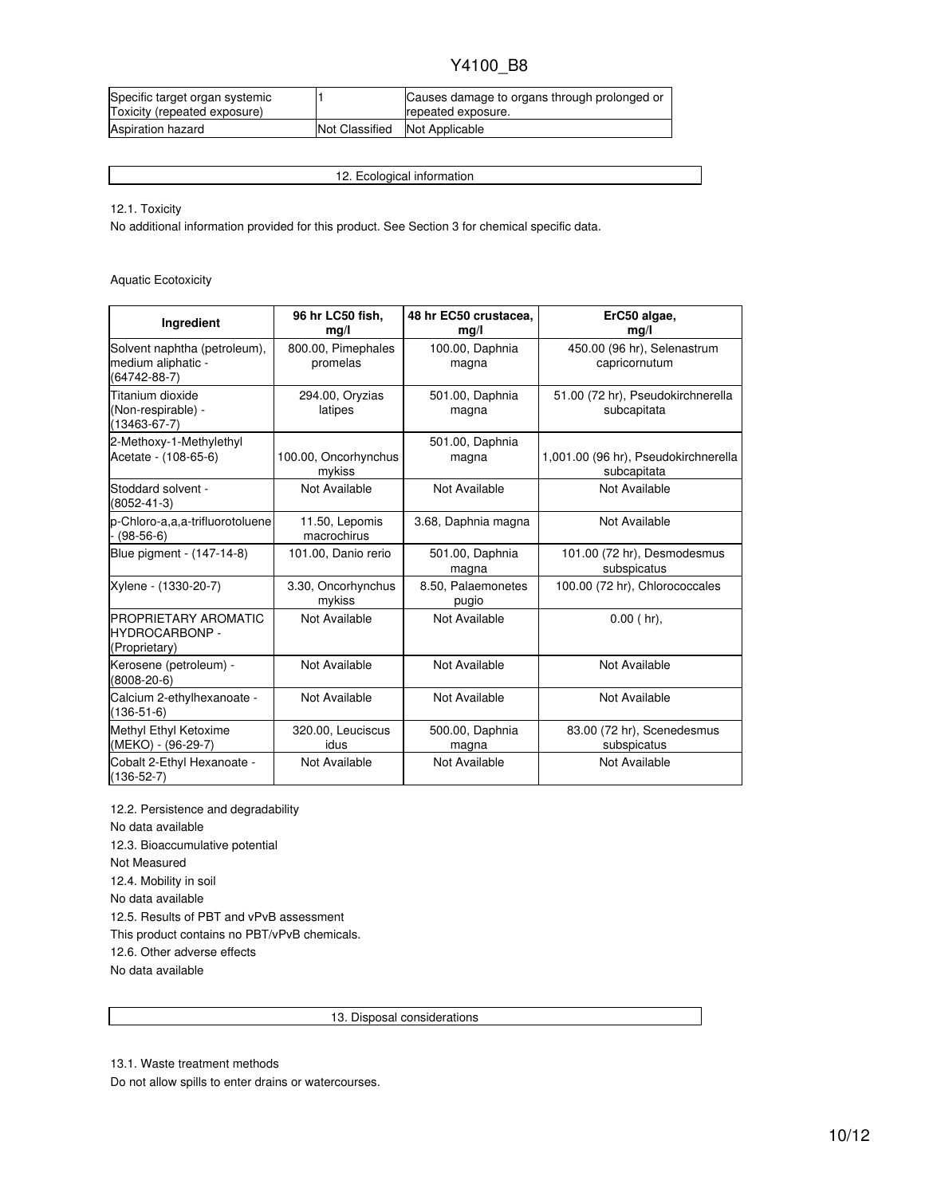| Specific target organ systemic |                | Causes damage to organs through prolonged or |
|--------------------------------|----------------|----------------------------------------------|
| Toxicity (repeated exposure)   |                | repeated exposure.                           |
| Aspiration hazard              | Not Classified | Not Applicable                               |

12. Ecological information

12.1. Toxicity

No additional information provided for this product. See Section 3 for chemical specific data.

Aquatic Ecotoxicity

| Ingredient                                                               | 96 hr LC50 fish,<br>mg/l       | 48 hr EC50 crustacea,<br>mq/l | ErC50 algae,<br>mq/l                                |
|--------------------------------------------------------------------------|--------------------------------|-------------------------------|-----------------------------------------------------|
| Solvent naphtha (petroleum),<br>medium aliphatic -<br>$(64742 - 88 - 7)$ | 800.00, Pimephales<br>promelas | 100.00, Daphnia<br>magna      | 450.00 (96 hr), Selenastrum<br>capricornutum        |
| Titanium dioxide<br>(Non-respirable) -<br>$(13463 - 67 - 7)$             | 294.00, Oryzias<br>latipes     | 501.00, Daphnia<br>magna      | 51.00 (72 hr), Pseudokirchnerella<br>subcapitata    |
| 2-Methoxy-1-Methylethyl<br>Acetate - (108-65-6)                          | 100.00, Oncorhynchus<br>mykiss | 501.00, Daphnia<br>magna      | 1,001.00 (96 hr), Pseudokirchnerella<br>subcapitata |
| Stoddard solvent -<br>$(8052 - 41 - 3)$                                  | Not Available                  | Not Available                 | Not Available                                       |
| p-Chloro-a.a.a-trifluorotoluene<br>$(98-56-6)$                           | 11.50, Lepomis<br>macrochirus  | 3.68, Daphnia magna           | Not Available                                       |
| Blue pigment - (147-14-8)                                                | 101.00, Danio rerio            | 501.00, Daphnia<br>magna      | 101.00 (72 hr), Desmodesmus<br>subspicatus          |
| Xylene - (1330-20-7)                                                     | 3.30, Oncorhynchus<br>mykiss   | 8.50, Palaemonetes<br>pugio   | 100.00 (72 hr), Chlorococcales                      |
| <b>PROPRIETARY AROMATIC</b><br><b>HYDROCARBONP-</b><br>(Proprietary)     | Not Available                  | Not Available                 | $0.00$ (hr).                                        |
| Kerosene (petroleum) -<br>$(8008-20-6)$                                  | Not Available                  | Not Available                 | Not Available                                       |
| Calcium 2-ethylhexanoate -<br>$(136-51-6)$                               | Not Available                  | Not Available                 | Not Available                                       |
| Methyl Ethyl Ketoxime<br>(MEKO) - (96-29-7)                              | 320.00, Leuciscus<br>idus      | 500.00, Daphnia<br>magna      | 83.00 (72 hr), Scenedesmus<br>subspicatus           |
| Cobalt 2-Ethyl Hexanoate -<br>$(136-52-7)$                               | Not Available                  | Not Available                 | Not Available                                       |

12.2. Persistence and degradability No data available 12.3. Bioaccumulative potential Not Measured 12.4. Mobility in soil No data available 12.5. Results of PBT and vPvB assessment This product contains no PBT/vPvB chemicals. 12.6. Other adverse effects No data available

13. Disposal considerations

Do not allow spills to enter drains or watercourses.

<sup>13.1.</sup> Waste treatment methods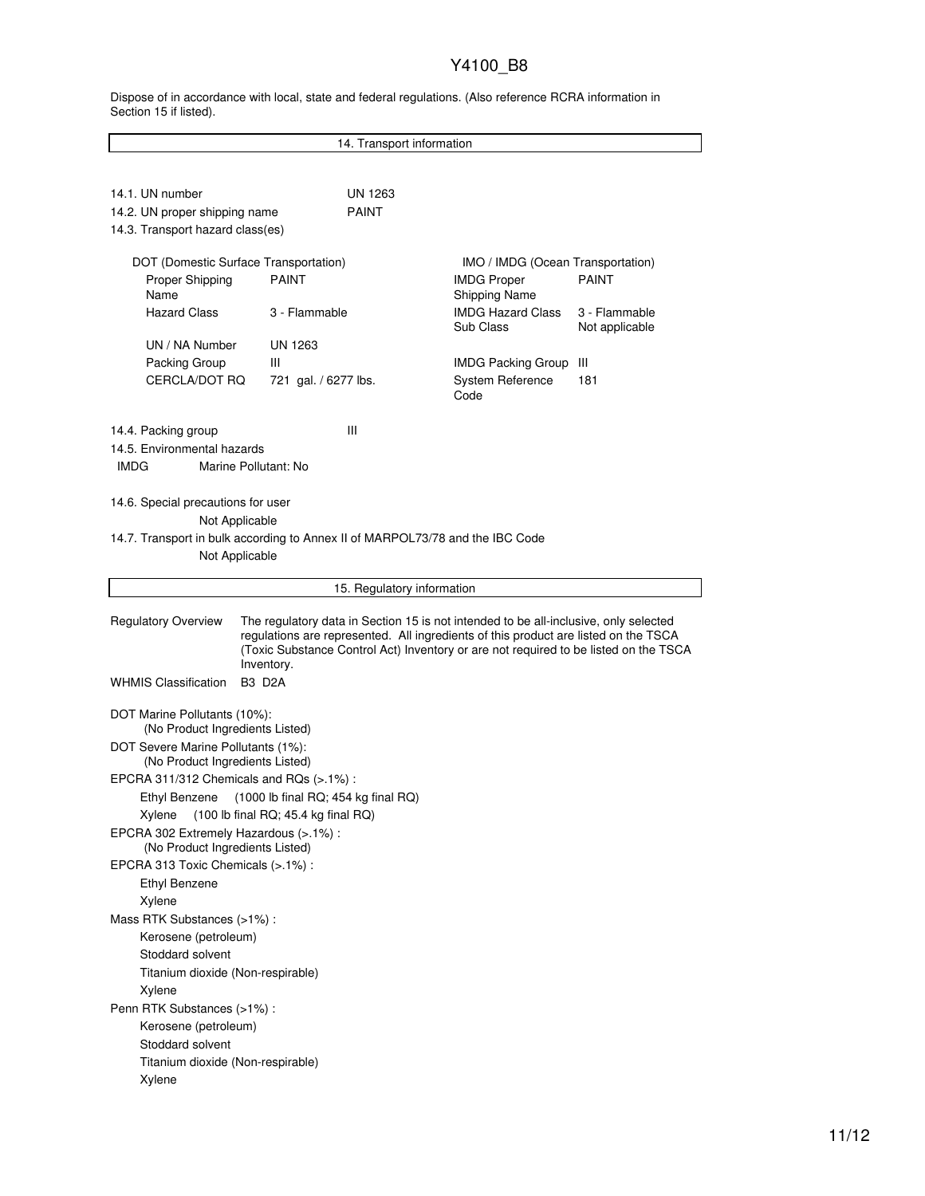Dispose of in accordance with local, state and federal regulations. (Also reference RCRA information in Section 15 if listed).

|                                                                                      |                                                                               | 14. Transport information                                                                                                                                                                                                                                           |                                 |  |  |  |
|--------------------------------------------------------------------------------------|-------------------------------------------------------------------------------|---------------------------------------------------------------------------------------------------------------------------------------------------------------------------------------------------------------------------------------------------------------------|---------------------------------|--|--|--|
|                                                                                      |                                                                               |                                                                                                                                                                                                                                                                     |                                 |  |  |  |
| 14.1. UN number<br>14.2. UN proper shipping name<br>14.3. Transport hazard class(es) | UN 1263<br><b>PAINT</b>                                                       |                                                                                                                                                                                                                                                                     |                                 |  |  |  |
| DOT (Domestic Surface Transportation)                                                |                                                                               | IMO / IMDG (Ocean Transportation)                                                                                                                                                                                                                                   |                                 |  |  |  |
| Proper Shipping<br>Name                                                              | <b>PAINT</b>                                                                  | <b>IMDG Proper</b><br><b>Shipping Name</b>                                                                                                                                                                                                                          | <b>PAINT</b>                    |  |  |  |
| <b>Hazard Class</b>                                                                  | 3 - Flammable                                                                 | <b>IMDG Hazard Class</b><br>Sub Class                                                                                                                                                                                                                               | 3 - Flammable<br>Not applicable |  |  |  |
| UN / NA Number                                                                       | <b>UN 1263</b>                                                                |                                                                                                                                                                                                                                                                     |                                 |  |  |  |
| Packing Group                                                                        | Ш                                                                             | <b>IMDG Packing Group</b>                                                                                                                                                                                                                                           | -III                            |  |  |  |
| CERCLA/DOT RQ                                                                        | 721 gal. / 6277 lbs.                                                          | <b>System Reference</b><br>Code                                                                                                                                                                                                                                     | 181                             |  |  |  |
| 14.4. Packing group                                                                  | Ш                                                                             |                                                                                                                                                                                                                                                                     |                                 |  |  |  |
| 14.5. Environmental hazards                                                          |                                                                               |                                                                                                                                                                                                                                                                     |                                 |  |  |  |
| <b>IMDG</b><br>Marine Pollutant: No                                                  |                                                                               |                                                                                                                                                                                                                                                                     |                                 |  |  |  |
| 14.6. Special precautions for user                                                   |                                                                               |                                                                                                                                                                                                                                                                     |                                 |  |  |  |
| Not Applicable                                                                       |                                                                               |                                                                                                                                                                                                                                                                     |                                 |  |  |  |
| Not Applicable                                                                       | 14.7. Transport in bulk according to Annex II of MARPOL73/78 and the IBC Code |                                                                                                                                                                                                                                                                     |                                 |  |  |  |
|                                                                                      |                                                                               |                                                                                                                                                                                                                                                                     |                                 |  |  |  |
|                                                                                      | 15. Regulatory information                                                    |                                                                                                                                                                                                                                                                     |                                 |  |  |  |
|                                                                                      |                                                                               |                                                                                                                                                                                                                                                                     |                                 |  |  |  |
| <b>Regulatory Overview</b>                                                           |                                                                               | The regulatory data in Section 15 is not intended to be all-inclusive, only selected<br>regulations are represented. All ingredients of this product are listed on the TSCA<br>(Toxic Substance Control Act) Inventory or are not required to be listed on the TSCA |                                 |  |  |  |
| <b>WHMIS Classification</b>                                                          | Inventory.<br><b>B3 D2A</b>                                                   |                                                                                                                                                                                                                                                                     |                                 |  |  |  |
| DOT Marine Pollutants (10%):<br>(No Product Ingredients Listed)                      |                                                                               |                                                                                                                                                                                                                                                                     |                                 |  |  |  |
| DOT Severe Marine Pollutants (1%):<br>(No Product Ingredients Listed)                |                                                                               |                                                                                                                                                                                                                                                                     |                                 |  |  |  |
| EPCRA 311/312 Chemicals and RQs $(>.1\%)$ :                                          |                                                                               |                                                                                                                                                                                                                                                                     |                                 |  |  |  |
| Ethyl Benzene                                                                        | (1000 lb final RQ; 454 kg final RQ)                                           |                                                                                                                                                                                                                                                                     |                                 |  |  |  |
| Xylene                                                                               | (100 lb final RQ; 45.4 kg final RQ)                                           |                                                                                                                                                                                                                                                                     |                                 |  |  |  |
| EPCRA 302 Extremely Hazardous (>.1%) :<br>(No Product Ingredients Listed)            |                                                                               |                                                                                                                                                                                                                                                                     |                                 |  |  |  |
| EPCRA 313 Toxic Chemicals (>.1%) :                                                   |                                                                               |                                                                                                                                                                                                                                                                     |                                 |  |  |  |
| <b>Ethyl Benzene</b>                                                                 |                                                                               |                                                                                                                                                                                                                                                                     |                                 |  |  |  |
| Xylene                                                                               |                                                                               |                                                                                                                                                                                                                                                                     |                                 |  |  |  |
| Mass RTK Substances (>1%):                                                           |                                                                               |                                                                                                                                                                                                                                                                     |                                 |  |  |  |
| Kerosene (petroleum)                                                                 |                                                                               |                                                                                                                                                                                                                                                                     |                                 |  |  |  |
| Stoddard solvent                                                                     |                                                                               |                                                                                                                                                                                                                                                                     |                                 |  |  |  |
| Titanium dioxide (Non-respirable)                                                    |                                                                               |                                                                                                                                                                                                                                                                     |                                 |  |  |  |
| Xylene                                                                               |                                                                               |                                                                                                                                                                                                                                                                     |                                 |  |  |  |
| Penn RTK Substances (>1%) :                                                          |                                                                               |                                                                                                                                                                                                                                                                     |                                 |  |  |  |
| Kerosene (petroleum)                                                                 |                                                                               |                                                                                                                                                                                                                                                                     |                                 |  |  |  |
| Stoddard solvent<br>Titanium dioxide (Non-respirable)                                |                                                                               |                                                                                                                                                                                                                                                                     |                                 |  |  |  |